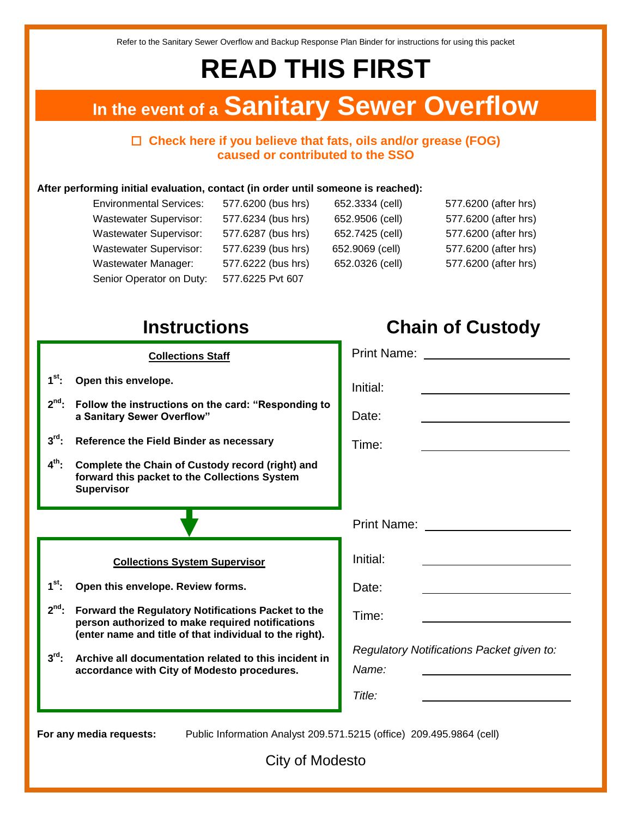Refer to the Sanitary Sewer Overflow and Backup Response Plan Binder for instructions for using this packet

# **READ THIS FIRST**

# **In the event of a Sanitary Sewer Overflow**

### **Check here if you believe that fats, oils and/or grease (FOG) caused or contributed to the SSO**

#### **After performing initial evaluation, contact (in order until someone is reached):**

| <b>Environmental Services:</b> | 577.6200 (bus hrs) | 652.3334 (cell) | 577.6200 (after hrs) |
|--------------------------------|--------------------|-----------------|----------------------|
| <b>Wastewater Supervisor:</b>  | 577.6234 (bus hrs) | 652.9506 (cell) | 577.6200 (after hrs) |
| <b>Wastewater Supervisor:</b>  | 577.6287 (bus hrs) | 652.7425 (cell) | 577.6200 (after hrs) |
| <b>Wastewater Supervisor:</b>  | 577.6239 (bus hrs) | 652.9069 (cell) | 577.6200 (after hrs) |
| <b>Wastewater Manager:</b>     | 577.6222 (bus hrs) | 652.0326 (cell) | 577.6200 (after hrs) |
| Senior Operator on Duty:       | 577.6225 Pvt 607   |                 |                      |

# **Instructions Chain of Custody**

#### **Collections Staff**

- $1<sup>st</sup>$ : **st: Open this envelope.**
- **2 nd: Follow the instructions on the card: "Responding to a Sanitary Sewer Overflow"**
- $3^{\text{rd}}$ : **Reference the Field Binder as necessary**
- $4^{\text{th}}$ : **th: Complete the Chain of Custody record (right) and forward this packet to the Collections System Supervisor**

#### **Collections System Supervisor**

- $1^{\text{st}}$ : **st: Open this envelope. Review forms.**
- $2^{nd}$ : **Forward the Regulatory Notifications Packet to the person authorized to make required notifications (enter name and title of that individual to the right).**
- **3 Archive all documentation related to this incident in accordance with City of Modesto procedures.**

|   | Print Name: <u>_________</u>                       |
|---|----------------------------------------------------|
|   | Initial:                                           |
| Ć | Date:                                              |
|   | Time:                                              |
|   |                                                    |
|   |                                                    |
|   | Print Name: __________________                     |
|   | Initial:                                           |
|   | Date:                                              |
|   | Time:                                              |
|   | Regulatory Notifications Packet given to:<br>Name: |
|   | Title:                                             |

**For any media requests:** Public Information Analyst 209.571.5215 (office) 209.495.9864 (cell)

City of Modesto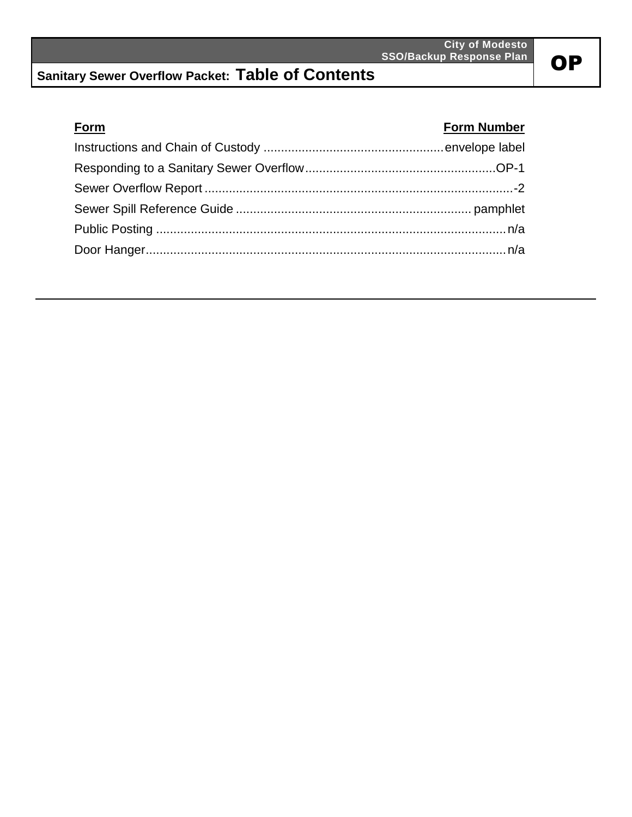## **Sanitary Sewer Overflow Packet: Table of Contents**

## **Form Form Number** Instructions and Chain of Custody ....................................................envelope label Responding to a Sanitary Sewer Overflow.......................................................OP-1 Sewer Overflow Report .........................................................................................-2 Sewer Spill Reference Guide .................................................................... pamphlet Public Posting .....................................................................................................n/a Door Hanger........................................................................................................n/a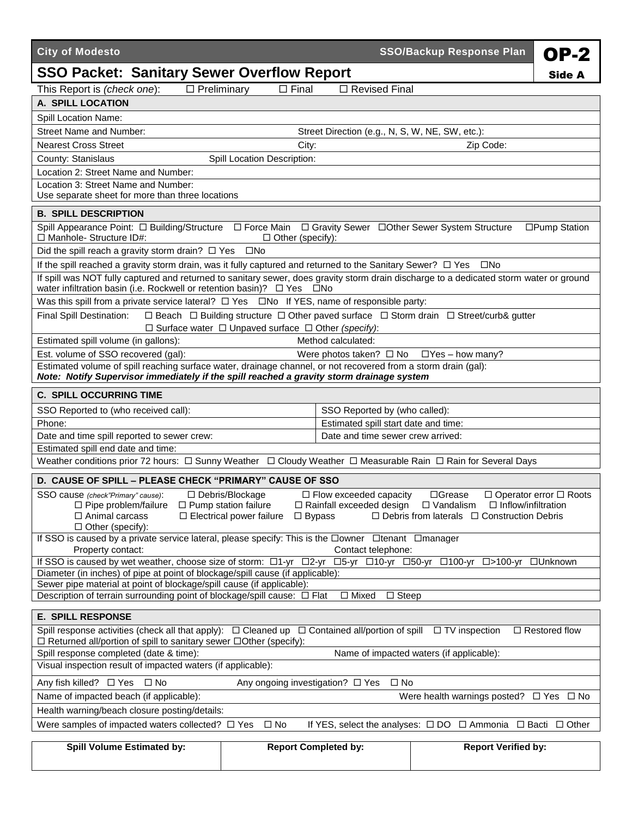| <b>City of Modesto</b>                                                                                                                                                                                                                                                                                                                                                                                                                                  |                                                                     |                                                     | <b>SSO/Backup Response Plan</b>                                                                                 | <b>OP-2</b>          |  |
|---------------------------------------------------------------------------------------------------------------------------------------------------------------------------------------------------------------------------------------------------------------------------------------------------------------------------------------------------------------------------------------------------------------------------------------------------------|---------------------------------------------------------------------|-----------------------------------------------------|-----------------------------------------------------------------------------------------------------------------|----------------------|--|
| <b>SSO Packet: Sanitary Sewer Overflow Report</b>                                                                                                                                                                                                                                                                                                                                                                                                       |                                                                     |                                                     |                                                                                                                 | Side A               |  |
| This Report is (check one):<br>$\Box$ Preliminary                                                                                                                                                                                                                                                                                                                                                                                                       | $\Box$ Final                                                        | □ Revised Final                                     |                                                                                                                 |                      |  |
| A. SPILL LOCATION                                                                                                                                                                                                                                                                                                                                                                                                                                       |                                                                     |                                                     |                                                                                                                 |                      |  |
| Spill Location Name:                                                                                                                                                                                                                                                                                                                                                                                                                                    |                                                                     |                                                     |                                                                                                                 |                      |  |
| Street Name and Number:                                                                                                                                                                                                                                                                                                                                                                                                                                 |                                                                     | Street Direction (e.g., N, S, W, NE, SW, etc.):     |                                                                                                                 |                      |  |
| <b>Nearest Cross Street</b>                                                                                                                                                                                                                                                                                                                                                                                                                             | City:                                                               |                                                     | Zip Code:                                                                                                       |                      |  |
| County: Stanislaus                                                                                                                                                                                                                                                                                                                                                                                                                                      | <b>Spill Location Description:</b>                                  |                                                     |                                                                                                                 |                      |  |
| Location 2: Street Name and Number:                                                                                                                                                                                                                                                                                                                                                                                                                     |                                                                     |                                                     |                                                                                                                 |                      |  |
| Location 3: Street Name and Number:<br>Use separate sheet for more than three locations                                                                                                                                                                                                                                                                                                                                                                 |                                                                     |                                                     |                                                                                                                 |                      |  |
| <b>B. SPILL DESCRIPTION</b>                                                                                                                                                                                                                                                                                                                                                                                                                             |                                                                     |                                                     |                                                                                                                 |                      |  |
| Spill Appearance Point: $\square$ Building/Structure $\square$ Force Main $\square$ Gravity Sewer $\square$ Other Sewer System Structure<br>$\Box$ Manhole- Structure ID#:                                                                                                                                                                                                                                                                              | $\Box$ Other (specify):                                             |                                                     |                                                                                                                 | □Pump Station        |  |
| Did the spill reach a gravity storm drain? $\Box$ Yes                                                                                                                                                                                                                                                                                                                                                                                                   | $\square$ No                                                        |                                                     |                                                                                                                 |                      |  |
| If the spill reached a gravity storm drain, was it fully captured and returned to the Sanitary Sewer? $\Box$ Yes $\Box$ No                                                                                                                                                                                                                                                                                                                              |                                                                     |                                                     |                                                                                                                 |                      |  |
| If spill was NOT fully captured and returned to sanitary sewer, does gravity storm drain discharge to a dedicated storm water or ground<br>water infiltration basin (i.e. Rockwell or retention basin)? □ Yes □ No                                                                                                                                                                                                                                      |                                                                     |                                                     |                                                                                                                 |                      |  |
| Was this spill from a private service lateral? $\Box$ Yes $\Box$ No If YES, name of responsible party:                                                                                                                                                                                                                                                                                                                                                  |                                                                     |                                                     |                                                                                                                 |                      |  |
| <b>Final Spill Destination:</b>                                                                                                                                                                                                                                                                                                                                                                                                                         |                                                                     |                                                     | $\Box$ Beach $\Box$ Building structure $\Box$ Other paved surface $\Box$ Storm drain $\Box$ Street/curb& gutter |                      |  |
|                                                                                                                                                                                                                                                                                                                                                                                                                                                         | $\Box$ Surface water $\Box$ Unpaved surface $\Box$ Other (specify): | Method calculated:                                  |                                                                                                                 |                      |  |
| Estimated spill volume (in gallons):<br>Est. volume of SSO recovered (gal):                                                                                                                                                                                                                                                                                                                                                                             |                                                                     |                                                     |                                                                                                                 |                      |  |
| Estimated volume of spill reaching surface water, drainage channel, or not recovered from a storm drain (gal):                                                                                                                                                                                                                                                                                                                                          |                                                                     | Were photos taken? $\Box$ No $\Box$ Yes - how many? |                                                                                                                 |                      |  |
| Note: Notify Supervisor immediately if the spill reached a gravity storm drainage system                                                                                                                                                                                                                                                                                                                                                                |                                                                     |                                                     |                                                                                                                 |                      |  |
| <b>C. SPILL OCCURRING TIME</b>                                                                                                                                                                                                                                                                                                                                                                                                                          |                                                                     |                                                     |                                                                                                                 |                      |  |
| SSO Reported to (who received call):                                                                                                                                                                                                                                                                                                                                                                                                                    |                                                                     | SSO Reported by (who called):                       |                                                                                                                 |                      |  |
| Phone:                                                                                                                                                                                                                                                                                                                                                                                                                                                  |                                                                     | Estimated spill start date and time:                |                                                                                                                 |                      |  |
| Date and time spill reported to sewer crew:                                                                                                                                                                                                                                                                                                                                                                                                             |                                                                     | Date and time sewer crew arrived:                   |                                                                                                                 |                      |  |
| Estimated spill end date and time:                                                                                                                                                                                                                                                                                                                                                                                                                      |                                                                     |                                                     |                                                                                                                 |                      |  |
| Weather conditions prior 72 hours: □ Sunny Weather □ Cloudy Weather □ Measurable Rain □ Rain for Several Days                                                                                                                                                                                                                                                                                                                                           |                                                                     |                                                     |                                                                                                                 |                      |  |
| D. CAUSE OF SPILL - PLEASE CHECK "PRIMARY" CAUSE OF SSO                                                                                                                                                                                                                                                                                                                                                                                                 |                                                                     |                                                     |                                                                                                                 |                      |  |
| □ Debris/Blockage<br>$\Box$ Flow exceeded capacity<br>□Grease<br>SSO cause (check"Primary" cause):<br>$\Box$ Operator error $\Box$ Roots<br>$\Box$ Pipe problem/failure $\Box$ Pump station failure<br>$\Box$ Vandalism<br>$\Box$ Inflow/infiltration<br>$\Box$ Rainfall exceeded design<br>$\Box$ Animal carcass<br>$\Box$ Electrical power failure $\Box$ Bypass<br>$\Box$ Debris from laterals $\Box$ Construction Debris<br>$\Box$ Other (specify): |                                                                     |                                                     |                                                                                                                 |                      |  |
| If SSO is caused by a private service lateral, please specify: This is the Downer Ditenant Dmanager                                                                                                                                                                                                                                                                                                                                                     |                                                                     |                                                     |                                                                                                                 |                      |  |
| Property contact:<br>Contact telephone:<br>If SSO is caused by wet weather, choose size of storm: □1-yr □2-yr<br>□5-yr □10-yr □50-yr □100-yr □>100-yr □Unknown                                                                                                                                                                                                                                                                                          |                                                                     |                                                     |                                                                                                                 |                      |  |
| Diameter (in inches) of pipe at point of blockage/spill cause (if applicable):                                                                                                                                                                                                                                                                                                                                                                          |                                                                     |                                                     |                                                                                                                 |                      |  |
| Sewer pipe material at point of blockage/spill cause (if applicable):                                                                                                                                                                                                                                                                                                                                                                                   |                                                                     |                                                     |                                                                                                                 |                      |  |
| Description of terrain surrounding point of blockage/spill cause: □ Flat<br>$\Box$ Mixed<br>$\Box$ Steep                                                                                                                                                                                                                                                                                                                                                |                                                                     |                                                     |                                                                                                                 |                      |  |
| <b>E. SPILL RESPONSE</b>                                                                                                                                                                                                                                                                                                                                                                                                                                |                                                                     |                                                     |                                                                                                                 |                      |  |
| Spill response activities (check all that apply): $\Box$ Cleaned up $\Box$ Contained all/portion of spill $\Box$ TV inspection<br>$\Box$ Restored flow<br>$\Box$ Returned all/portion of spill to sanitary sewer $\Box$ Other (specify):                                                                                                                                                                                                                |                                                                     |                                                     |                                                                                                                 |                      |  |
| Name of impacted waters (if applicable):<br>Spill response completed (date & time):                                                                                                                                                                                                                                                                                                                                                                     |                                                                     |                                                     |                                                                                                                 |                      |  |
| Visual inspection result of impacted waters (if applicable):                                                                                                                                                                                                                                                                                                                                                                                            |                                                                     |                                                     |                                                                                                                 |                      |  |
| Any fish killed? □ Yes □ No                                                                                                                                                                                                                                                                                                                                                                                                                             | Any ongoing investigation? □ Yes<br>$\square$ No                    |                                                     |                                                                                                                 |                      |  |
| Name of impacted beach (if applicable):                                                                                                                                                                                                                                                                                                                                                                                                                 |                                                                     |                                                     | Were health warnings posted?                                                                                    | $\Box$ Yes $\Box$ No |  |
| Health warning/beach closure posting/details:                                                                                                                                                                                                                                                                                                                                                                                                           |                                                                     |                                                     |                                                                                                                 |                      |  |
| Were samples of impacted waters collected? $\Box$ Yes<br>$\square$ No<br>If YES, select the analyses: $\Box$ DO $\Box$ Ammonia $\Box$ Bacti $\Box$ Other                                                                                                                                                                                                                                                                                                |                                                                     |                                                     |                                                                                                                 |                      |  |
| <b>Spill Volume Estimated by:</b>                                                                                                                                                                                                                                                                                                                                                                                                                       | <b>Report Completed by:</b>                                         |                                                     | <b>Report Verified by:</b>                                                                                      |                      |  |